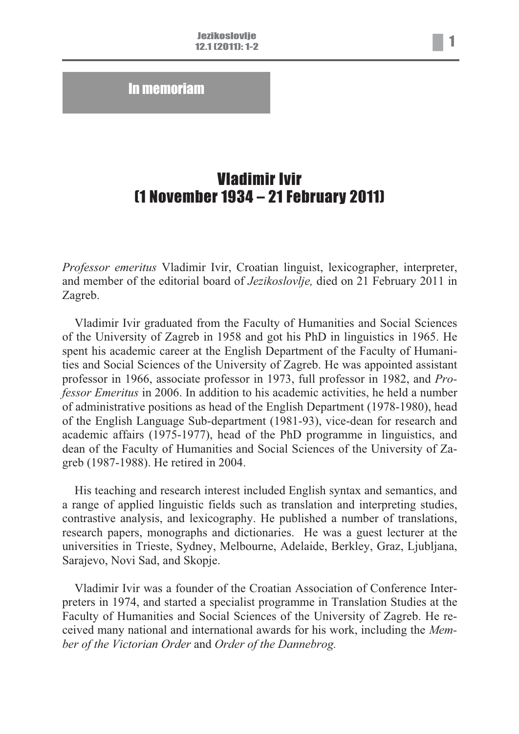In memoriam

## Vladimir Ivir (1 November 1934 – 21 February 2011)

*Professor emeritus* Vladimir Ivir, Croatian linguist, lexicographer, interpreter, and member of the editorial board of *Jezikoslovlje,* died on 21 February 2011 in Zagreb.

Vladimir Ivir graduated from the Faculty of Humanities and Social Sciences of the University of Zagreb in 1958 and got his PhD in linguistics in 1965. He spent his academic career at the English Department of the Faculty of Humanities and Social Sciences of the University of Zagreb. He was appointed assistant professor in 1966, associate professor in 1973, full professor in 1982, and *Professor Emeritus* in 2006. In addition to his academic activities, he held a number of administrative positions as head of the English Department (1978-1980), head of the English Language Sub-department (1981-93), vice-dean for research and academic affairs (1975-1977), head of the PhD programme in linguistics, and dean of the Faculty of Humanities and Social Sciences of the University of Zagreb (1987-1988). He retired in 2004.

His teaching and research interest included English syntax and semantics, and a range of applied linguistic fields such as translation and interpreting studies, contrastive analysis, and lexicography. He published a number of translations, research papers, monographs and dictionaries. He was a guest lecturer at the universities in Trieste, Sydney, Melbourne, Adelaide, Berkley, Graz, Ljubljana, Sarajevo, Novi Sad, and Skopje.

Vladimir Ivir was a founder of the Croatian Association of Conference Interpreters in 1974, and started a specialist programme in Translation Studies at the Faculty of Humanities and Social Sciences of the University of Zagreb. He received many national and international awards for his work, including the *Member of the Victorian Order* and *Order of the Dannebrog.*